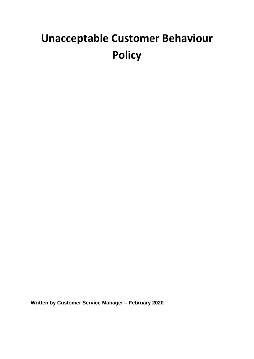# **Unacceptable Customer Behaviour Policy**

**Written by Customer Service Manager – February 2020**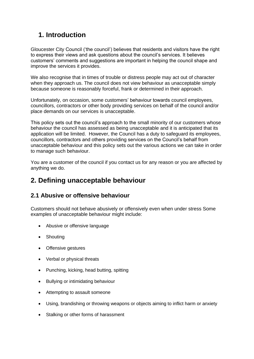# **1. Introduction**

Gloucester City Council ('the council') believes that residents and visitors have the right to express their views and ask questions about the council's services. It believes customers' comments and suggestions are important in helping the council shape and improve the services it provides.

We also recognise that in times of trouble or distress people may act out of character when they approach us. The council does not view behaviour as unacceptable simply because someone is reasonably forceful, frank or determined in their approach.

Unfortunately, on occasion, some customers' behaviour towards council employees, councillors, contractors or other body providing services on behalf of the council and/or place demands on our services is unacceptable.

This policy sets out the council's approach to the small minority of our customers whose behaviour the council has assessed as being unacceptable and it is anticipated that its application will be limited. However, the Council has a duty to safeguard its employees, councillors, contractors and others providing services on the Council's behalf from unacceptable behaviour and this policy sets out the various actions we can take in order to manage such behaviour.

You are a customer of the council if you contact us for any reason or you are affected by anything we do.

# **2. Defining unacceptable behaviour**

#### **2.1 Abusive or offensive behaviour**

Customers should not behave abusively or offensively even when under stress Some examples of unacceptable behaviour might include:

- Abusive or offensive language
- Shouting
- Offensive gestures
- Verbal or physical threats
- Punching, kicking, head butting, spitting
- Bullying or intimidating behaviour
- Attempting to assault someone
- Using, brandishing or throwing weapons or objects aiming to inflict harm or anxiety
- Stalking or other forms of harassment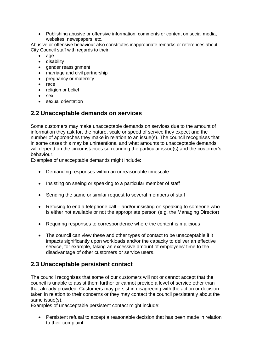• Publishing abusive or offensive information, comments or content on social media, websites, newspapers, etc.

Abusive or offensive behaviour also constitutes inappropriate remarks or references about City Council staff with regards to their:

- age
- disability
- gender reassignment
- marriage and civil partnership
- pregnancy or maternity
- race
- religion or belief
- sex
- sexual orientation

#### **2.2 Unacceptable demands on services**

Some customers may make unacceptable demands on services due to the amount of information they ask for, the nature, scale or speed of service they expect and the number of approaches they make in relation to an issue(s). The council recognises that in some cases this may be unintentional and what amounts to unacceptable demands will depend on the circumstances surrounding the particular issue(s) and the customer's behaviour.

Examples of unacceptable demands might include:

- Demanding responses within an unreasonable timescale
- Insisting on seeing or speaking to a particular member of staff
- Sending the same or similar request to several members of staff
- Refusing to end a telephone call and/or insisting on speaking to someone who is either not available or not the appropriate person (e.g. the Managing Director)
- Requiring responses to correspondence where the content is malicious
- The council can view these and other types of contact to be unacceptable if it impacts significantly upon workloads and/or the capacity to deliver an effective service, for example, taking an excessive amount of employees' time to the disadvantage of other customers or service users.

#### **2.3 Unacceptable persistent contact**

The council recognises that some of our customers will not or cannot accept that the council is unable to assist them further or cannot provide a level of service other than that already provided. Customers may persist in disagreeing with the action or decision taken in relation to their concerns or they may contact the council persistently about the same issue(s).

Examples of unacceptable persistent contact might include:

• Persistent refusal to accept a reasonable decision that has been made in relation to their complaint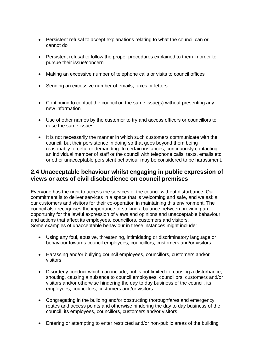- Persistent refusal to accept explanations relating to what the council can or cannot do
- Persistent refusal to follow the proper procedures explained to them in order to pursue their issue/concern
- Making an excessive number of telephone calls or visits to council offices
- Sending an excessive number of emails, faxes or letters
- Continuing to contact the council on the same issue(s) without presenting any new information
- Use of other names by the customer to try and access officers or councillors to raise the same issues
- It is not necessarily the manner in which such customers communicate with the council, but their persistence in doing so that goes beyond them being reasonably forceful or demanding. In certain instances, continuously contacting an individual member of staff or the council with telephone calls, texts, emails etc. or other unacceptable persistent behaviour may be considered to be harassment.

#### **2.4 Unacceptable behaviour whilst engaging in public expression of views or acts of civil disobedience on council premises**

Everyone has the right to access the services of the council without disturbance. Our commitment is to deliver services in a space that is welcoming and safe, and we ask all our customers and visitors for their co-operation in maintaining this environment. The council also recognises the importance of striking a balance between providing an opportunity for the lawful expression of views and opinions and unacceptable behaviour and actions that affect its employees, councillors, customers and visitors. Some examples of unacceptable behaviour in these instances might include:

- Using any foul, abusive, threatening, intimidating or discriminatory language or behaviour towards council employees, councillors, customers and/or visitors
- Harassing and/or bullying council employees, councillors, customers and/or visitors
- Disorderly conduct which can include, but is not limited to, causing a disturbance, shouting, causing a nuisance to council employees, councillors, customers and/or visitors and/or otherwise hindering the day to day business of the council, its employees, councillors, customers and/or visitors
- Congregating in the building and/or obstructing thoroughfares and emergency routes and access points and otherwise hindering the day to day business of the council, its employees, councillors, customers and/or visitors
- Entering or attempting to enter restricted and/or non-public areas of the building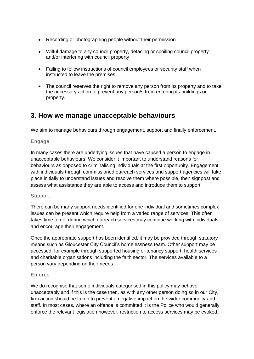- Recording or photographing people without their permission
- Wilful damage to any council property, defacing or spoiling council property and/or interfering with council property
- Failing to follow instructions of council employees or security staff when instructed to leave the premises
- The council reserves the right to remove any person from its property and to take the necessary action to prevent any person/s from entering its buildings or property.

## **3. How we manage unacceptable behaviours**

We aim to manage behaviours through engagement, support and finally enforcement.

#### Engage

In many cases there are underlying issues that have caused a person to engage in unacceptable behaviours. We consider it important to understand reasons for behaviours as opposed to criminalising individuals at the first opportunity. Engagement with individuals through commissioned outreach services and support agencies will take place initially to understand issues and resolve them where possible, then signpost and assess what assistance they are able to access and introduce them to support.

#### Support

There can be many support needs identified for one individual and sometimes complex issues can be present which require help from a varied range of services. This often takes time to do, during which outreach services may continue working with individuals and encourage their engagement.

Once the appropriate support has been identified, it may be provided through statutory means such as Gloucester City Council's homelessness team. Other support may be accessed, for example through supported housing or tenancy support, health services and charitable organisations including the faith sector. The services available to a person vary depending on their needs.

#### Enforce

We do recognise that some individuals categorised in this policy may behave unacceptably and if this is the case then, as with any other person doing so in our City, firm action should be taken to prevent a negative impact on the wider community and staff. In most cases, where an offence is committed it is the Police who would generally enforce the relevant legislation however, restriction to access services may be evoked.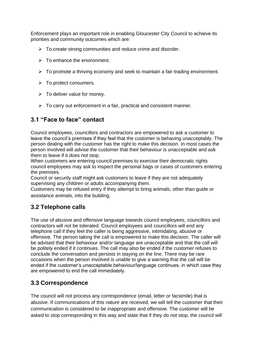Enforcement plays an important role in enabling Gloucester City Council to achieve its priorities and community outcomes which are:

- $\triangleright$  To create strong communities and reduce crime and disorder.
- $\triangleright$  To enhance the environment.
- $\triangleright$  To promote a thriving economy and seek to maintain a fair-trading environment.
- ➢ To protect consumers.
- $\triangleright$  To deliver value for money.
- $\triangleright$  To carry out enforcement in a fair, practical and consistent manner.

## **3.1 "Face to face" contact**

Council employees, councillors and contractors are empowered to ask a customer to leave the council's premises if they feel that the customer is behaving unacceptably. The person dealing with the customer has the right to make this decision. In most cases the person involved will advise the customer that their behaviour is unacceptable and ask them to leave if it does not stop.

When customers are entering council premises to exercise their democratic rights council employees may ask to inspect the personal bags or cases of customers entering the premises.

Council or security staff might ask customers to leave if they are not adequately supervising any children or adults accompanying them.

Customers may be refused entry if they attempt to bring animals, other than guide or assistance animals, into the building.

#### **3.2 Telephone calls**

The use of abusive and offensive language towards council employees, councillors and contractors will not be tolerated. Council employees and councillors will end any telephone call if they feel the caller is being aggressive, intimidating, abusive or offensive. The person taking the call is empowered to make this decision. The caller will be advised that their behaviour and/or language are unacceptable and that the call will be politely ended if it continues. The call may also be ended if the customer refuses to conclude the conversation and persists in staying on the line. There may be rare occasions when the person involved is unable to give a warning that the call will be ended if the customer's unacceptable behaviour/language continues, in which case they are empowered to end the call immediately.

## **3.3 Correspondence**

The council will not process any correspondence (email, letter or facsimile) that is abusive. If communications of this nature are received, we will tell the customer that their communication is considered to be inappropriate and offensive. The customer will be asked to stop corresponding in this way and state that if they do not stop, the council will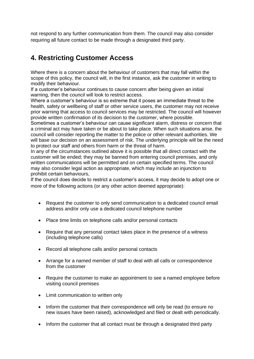not respond to any further communication from them. The council may also consider requiring all future contact to be made through a designated third party.

# **4. Restricting Customer Access**

Where there is a concern about the behaviour of customers that may fall within the scope of this policy, the council will, in the first instance, ask the customer in writing to modify their behaviour.

If a customer's behaviour continues to cause concern after being given an initial warning, then the council will look to restrict access.

Where a customer's behaviour is so extreme that it poses an immediate threat to the health, safety or wellbeing of staff or other service users, the customer may not receive prior warning that access to council services may be restricted. The council will however provide written confirmation of its decision to the customer, where possible.

Sometimes a customer's behaviour can cause significant alarm, distress or concern that a criminal act may have taken or be about to take place. When such situations arise, the council will consider reporting the matter to the police or other relevant authorities. We will base our decision on an assessment of risk. The underlying principle will be the need to protect our staff and others from harm or the threat of harm.

In any of the circumstances outlined above it is possible that all direct contact with the customer will be ended; they may be banned from entering council premises, and only written communications will be permitted and on certain specified terms. The council may also consider legal action as appropriate, which may include an injunction to prohibit certain behaviours,

If the council does decide to restrict a customer's access, it may decide to adopt one or more of the following actions (or any other action deemed appropriate):

- Request the customer to only send communication to a dedicated council email address and/or only use a dedicated council telephone number
- Place time limits on telephone calls and/or personal contacts
- Require that any personal contact takes place in the presence of a witness (including telephone calls)
- Record all telephone calls and/or personal contacts
- Arrange for a named member of staff to deal with all calls or correspondence from the customer
- Require the customer to make an appointment to see a named employee before visiting council premises
- Limit communication to written only
- Inform the customer that their correspondence will only be read (to ensure no new issues have been raised), acknowledged and filed or dealt with periodically.
- Inform the customer that all contact must be through a designated third party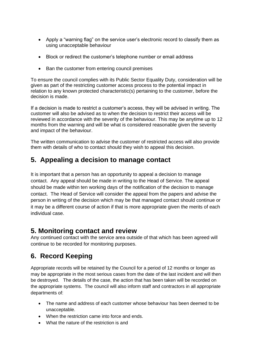- Apply a "warning flag" on the service user's electronic record to classify them as using unacceptable behaviour
- Block or redirect the customer's telephone number or email address
- Ban the customer from entering council premises

To ensure the council complies with its Public Sector Equality Duty, consideration will be given as part of the restricting customer access process to the potential impact in relation to any known protected characteristic(s) pertaining to the customer, before the decision is made.

If a decision is made to restrict a customer's access, they will be advised in writing. The customer will also be advised as to when the decision to restrict their access will be reviewed in accordance with the severity of the behaviour. This may be anytime up to 12 months from the warning and will be what is considered reasonable given the severity and impact of the behaviour.

The written communication to advise the customer of restricted access will also provide them with details of who to contact should they wish to appeal this decision.

# **5. Appealing a decision to manage contact**

It is important that a person has an opportunity to appeal a decision to manage contact. Any appeal should be made in writing to the Head of Service. The appeal should be made within ten working days of the notification of the decision to manage contact. The Head of Service will consider the appeal from the papers and advise the person in writing of the decision which may be that managed contact should continue or it may be a different course of action if that is more appropriate given the merits of each individual case.

## **5. Monitoring contact and review**

Any continued contact with the service area outside of that which has been agreed will continue to be recorded for monitoring purposes.

# **6. Record Keeping**

Appropriate records will be retained by the Council for a period of 12 months or longer as may be appropriate in the most serious cases from the date of the last incident and will then be destroyed. The details of the case, the action that has been taken will be recorded on the appropriate systems. The council will also inform staff and contractors in all appropriate departments of:

- The name and address of each customer whose behaviour has been deemed to be unacceptable.
- When the restriction came into force and ends.
- What the nature of the restriction is and